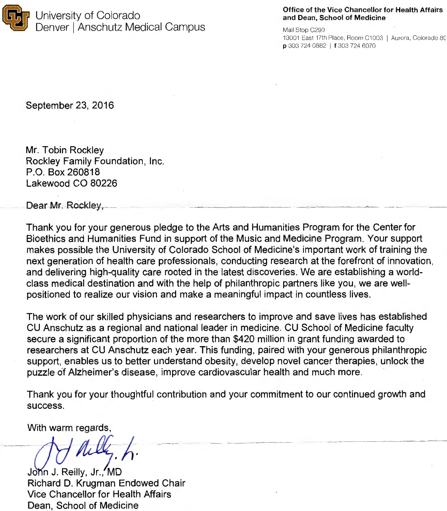

## Office of the Vice Chancellor for Health Affairs and Dean, School of Medicine

Mail Stop C290 13001 East 17th Place, Room C1003 I Aurora, Colorado 8C P 303 724 0882 1 *t* 303 724 6070

- - -- ~- --

September 23, 2016

Mr. Tobin Rockley Rockley Family Foundation, Inc. P.O. Box 260818 Lakewood CO 80226

Dear Mr. Rockley.

Thank you for your generous pledge to the Arts and Humanities Program for the Center for Bioethics and Humanities Fund in support of the Music and Medicine Program. Your support makes possible the University of Colorado School of Medicine's important work of training the next generation of health care professionals, conducting research at the forefront of innovation, and delivering high-quality care rooted in the latest discoveries. We are establishing a worldclass medical destination and with the help of philanthropic partners like you, we are wellpositioned to realize our vision and make a meaningful impact in countless lives.

The work of our skilled physicians and researchers to improve and save lives has established CU Anschutz as a regional and national leader in medicine. CU School of Medicine faculty secure a significant proportion of the more than \$420 million in grant funding awarded to researchers at CU Anschutz each year. This funding, paired with your generous philanthropic support, enables us to better understand obesity, develop novel cancer therapies, unlock the puzzle of Alzheimer's disease, improve cardiovascular health and much more.

Thank you for your thoughtful contribution and your commitment to our continued growth and success.

With warm regards,

Jòhn J. Reilly, Jr., MD<br>Richard D. Krugman Endowed Chair Vice Chancellor for Health Affairs Dean, School of Medicine